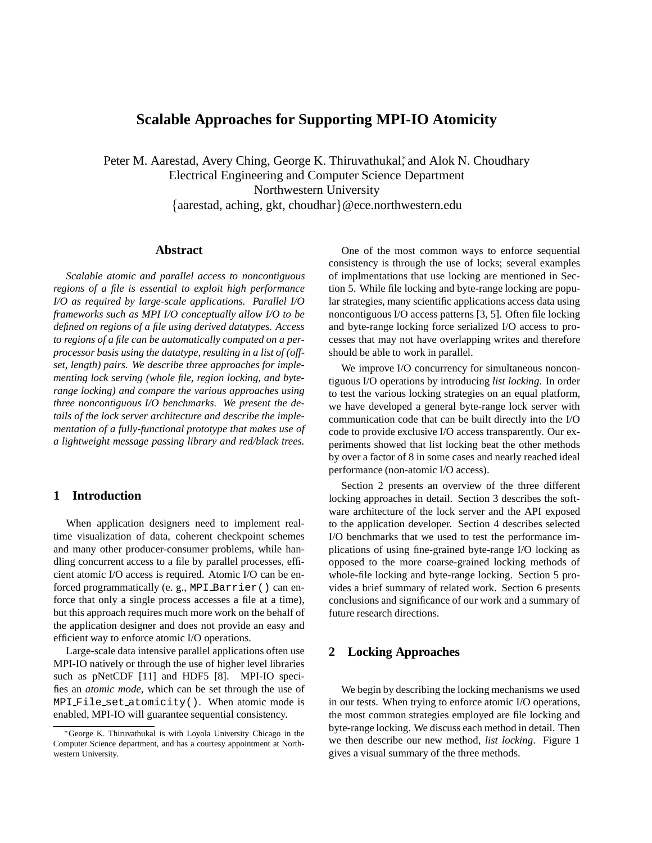# **Scalable Approaches for Supporting MPI-IO Atomicity**

Peter M. Aarestad, Avery Ching, George K. Thiruvathukal<sup>\*</sup>, and Alok N. Choudhary Electrical Engineering and Computer Science Department Northwestern University {aarestad, aching, gkt, choudhar}@ece.northwestern.edu

#### **Abstract**

*Scalable atomic and parallel access to noncontiguous regions of a file is essential to exploit high performance I/O as required by large-scale applications. Parallel I/O frameworks such as MPI I/O conceptually allow I/O to be defined on regions of a file using derived datatypes. Access to regions of a file can be automatically computed on a perprocessor basis using the datatype, resulting in a list of (offset, length) pairs. We describe three approaches for implementing lock serving (whole file, region locking, and byterange locking) and compare the various approaches using three noncontiguous I/O benchmarks. We present the details of the lock server architecture and describe the implementation of a fully-functional prototype that makes use of a lightweight message passing library and red/black trees.*

### **1 Introduction**

When application designers need to implement realtime visualization of data, coherent checkpoint schemes and many other producer-consumer problems, while handling concurrent access to a file by parallel processes, efficient atomic I/O access is required. Atomic I/O can be enforced programmatically (e. g., MPI Barrier() can enforce that only a single process accesses a file at a time), but this approach requires much more work on the behalf of the application designer and does not provide an easy and efficient way to enforce atomic I/O operations.

Large-scale data intensive parallel applications often use MPI-IO natively or through the use of higher level libraries such as pNetCDF [11] and HDF5 [8]. MPI-IO specifies an *atomic mode*, which can be set through the use of MPI File set atomicity(). When atomic mode is enabled, MPI-IO will guarantee sequential consistency.

One of the most common ways to enforce sequential consistency is through the use of locks; several examples of implmentations that use locking are mentioned in Section 5. While file locking and byte-range locking are popular strategies, many scientific applications access data using noncontiguous I/O access patterns [3, 5]. Often file locking and byte-range locking force serialized I/O access to processes that may not have overlapping writes and therefore should be able to work in parallel.

We improve I/O concurrency for simultaneous noncontiguous I/O operations by introducing *list locking*. In order to test the various locking strategies on an equal platform, we have developed a general byte-range lock server with communication code that can be built directly into the I/O code to provide exclusive I/O access transparently. Our experiments showed that list locking beat the other methods by over a factor of 8 in some cases and nearly reached ideal performance (non-atomic I/O access).

Section 2 presents an overview of the three different locking approaches in detail. Section 3 describes the software architecture of the lock server and the API exposed to the application developer. Section 4 describes selected I/O benchmarks that we used to test the performance implications of using fine-grained byte-range I/O locking as opposed to the more coarse-grained locking methods of whole-file locking and byte-range locking. Section 5 provides a brief summary of related work. Section 6 presents conclusions and significance of our work and a summary of future research directions.

# **2 Locking Approaches**

We begin by describing the locking mechanisms we used in our tests. When trying to enforce atomic I/O operations, the most common strategies employed are file locking and byte-range locking. We discuss each method in detail. Then we then describe our new method, *list locking*. Figure 1 gives a visual summary of the three methods.

<sup>∗</sup>George K. Thiruvathukal is with Loyola University Chicago in the Computer Science department, and has a courtesy appointment at Northwestern University.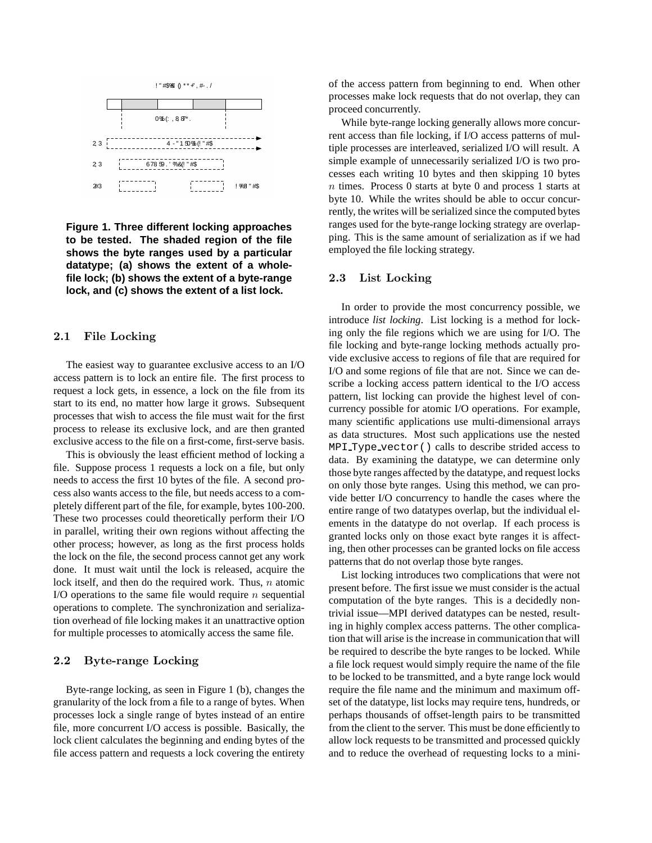

**Figure 1. Three different locking approaches to be tested. The shaded region of the file shows the byte ranges used by a particular datatype; (a) shows the extent of a wholefile lock; (b) shows the extent of a byte-range lock, and (c) shows the extent of a list lock.**

### 2.1 File Locking

The easiest way to guarantee exclusive access to an I/O access pattern is to lock an entire file. The first process to request a lock gets, in essence, a lock on the file from its start to its end, no matter how large it grows. Subsequent processes that wish to access the file must wait for the first process to release its exclusive lock, and are then granted exclusive access to the file on a first-come, first-serve basis.

This is obviously the least efficient method of locking a file. Suppose process 1 requests a lock on a file, but only needs to access the first 10 bytes of the file. A second process also wants access to the file, but needs access to a completely different part of the file, for example, bytes 100-200. These two processes could theoretically perform their I/O in parallel, writing their own regions without affecting the other process; however, as long as the first process holds the lock on the file, the second process cannot get any work done. It must wait until the lock is released, acquire the lock itself, and then do the required work. Thus, n atomic I/O operations to the same file would require  $n$  sequential operations to complete. The synchronization and serialization overhead of file locking makes it an unattractive option for multiple processes to atomically access the same file.

# 2.2 Byte-range Locking

Byte-range locking, as seen in Figure 1 (b), changes the granularity of the lock from a file to a range of bytes. When processes lock a single range of bytes instead of an entire file, more concurrent I/O access is possible. Basically, the lock client calculates the beginning and ending bytes of the file access pattern and requests a lock covering the entirety of the access pattern from beginning to end. When other processes make lock requests that do not overlap, they can proceed concurrently.

While byte-range locking generally allows more concurrent access than file locking, if I/O access patterns of multiple processes are interleaved, serialized I/O will result. A simple example of unnecessarily serialized I/O is two processes each writing 10 bytes and then skipping 10 bytes  $n$  times. Process 0 starts at byte 0 and process 1 starts at byte 10. While the writes should be able to occur concurrently, the writes will be serialized since the computed bytes ranges used for the byte-range locking strategy are overlapping. This is the same amount of serialization as if we had employed the file locking strategy.

### 2.3 List Locking

In order to provide the most concurrency possible, we introduce *list locking*. List locking is a method for locking only the file regions which we are using for I/O. The file locking and byte-range locking methods actually provide exclusive access to regions of file that are required for I/O and some regions of file that are not. Since we can describe a locking access pattern identical to the I/O access pattern, list locking can provide the highest level of concurrency possible for atomic I/O operations. For example, many scientific applications use multi-dimensional arrays as data structures. Most such applications use the nested MPI Type vector() calls to describe strided access to data. By examining the datatype, we can determine only those byte ranges affected by the datatype, and request locks on only those byte ranges. Using this method, we can provide better I/O concurrency to handle the cases where the entire range of two datatypes overlap, but the individual elements in the datatype do not overlap. If each process is granted locks only on those exact byte ranges it is affecting, then other processes can be granted locks on file access patterns that do not overlap those byte ranges.

List locking introduces two complications that were not present before. The first issue we must consider is the actual computation of the byte ranges. This is a decidedly nontrivial issue—MPI derived datatypes can be nested, resulting in highly complex access patterns. The other complication that will arise is the increase in communication that will be required to describe the byte ranges to be locked. While a file lock request would simply require the name of the file to be locked to be transmitted, and a byte range lock would require the file name and the minimum and maximum offset of the datatype, list locks may require tens, hundreds, or perhaps thousands of offset-length pairs to be transmitted from the client to the server. This must be done efficiently to allow lock requests to be transmitted and processed quickly and to reduce the overhead of requesting locks to a mini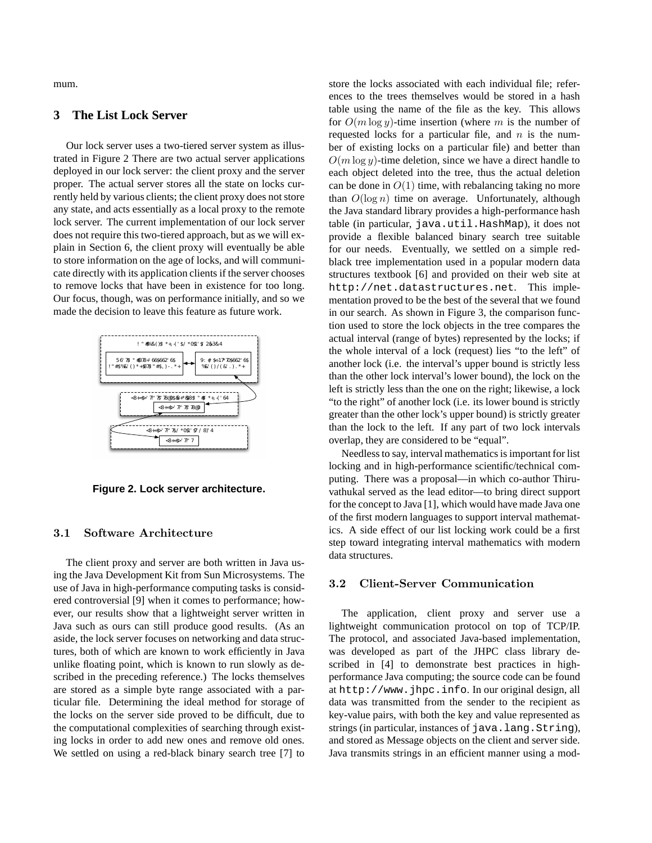mum.

### **3 The List Lock Server**

Our lock server uses a two-tiered server system as illustrated in Figure 2 There are two actual server applications deployed in our lock server: the client proxy and the server proper. The actual server stores all the state on locks currently held by various clients; the client proxy does not store any state, and acts essentially as a local proxy to the remote lock server. The current implementation of our lock server does not require this two-tiered approach, but as we will explain in Section 6, the client proxy will eventually be able to store information on the age of locks, and will communicate directly with its application clients if the server chooses to remove locks that have been in existence for too long. Our focus, though, was on performance initially, and so we made the decision to leave this feature as future work.



**Figure 2. Lock server architecture.**

#### 3.1 Software Architecture

The client proxy and server are both written in Java using the Java Development Kit from Sun Microsystems. The use of Java in high-performance computing tasks is considered controversial [9] when it comes to performance; however, our results show that a lightweight server written in Java such as ours can still produce good results. (As an aside, the lock server focuses on networking and data structures, both of which are known to work efficiently in Java unlike floating point, which is known to run slowly as described in the preceding reference.) The locks themselves are stored as a simple byte range associated with a particular file. Determining the ideal method for storage of the locks on the server side proved to be difficult, due to the computational complexities of searching through existing locks in order to add new ones and remove old ones. We settled on using a red-black binary search tree [7] to

store the locks associated with each individual file; references to the trees themselves would be stored in a hash table using the name of the file as the key. This allows for  $O(m \log y)$ -time insertion (where m is the number of requested locks for a particular file, and  $n$  is the number of existing locks on a particular file) and better than  $O(m \log y)$ -time deletion, since we have a direct handle to each object deleted into the tree, thus the actual deletion can be done in  $O(1)$  time, with rebalancing taking no more than  $O(\log n)$  time on average. Unfortunately, although the Java standard library provides a high-performance hash table (in particular, java.util.HashMap), it does not provide a flexible balanced binary search tree suitable for our needs. Eventually, we settled on a simple redblack tree implementation used in a popular modern data structures textbook [6] and provided on their web site at http://net.datastructures.net. This implementation proved to be the best of the several that we found in our search. As shown in Figure 3, the comparison function used to store the lock objects in the tree compares the actual interval (range of bytes) represented by the locks; if the whole interval of a lock (request) lies "to the left" of another lock (i.e. the interval's upper bound is strictly less than the other lock interval's lower bound), the lock on the left is strictly less than the one on the right; likewise, a lock "to the right" of another lock (i.e. its lower bound is strictly greater than the other lock's upper bound) is strictly greater than the lock to the left. If any part of two lock intervals overlap, they are considered to be "equal".

Needless to say, interval mathematics is important for list locking and in high-performance scientific/technical computing. There was a proposal—in which co-author Thiruvathukal served as the lead editor—to bring direct support for the concept to Java [1], which would have made Java one of the first modern languages to support interval mathematics. A side effect of our list locking work could be a first step toward integrating interval mathematics with modern data structures.

#### 3.2 Client-Server Communication

The application, client proxy and server use a lightweight communication protocol on top of TCP/IP. The protocol, and associated Java-based implementation, was developed as part of the JHPC class library described in [4] to demonstrate best practices in highperformance Java computing; the source code can be found at http://www.jhpc.info. In our original design, all data was transmitted from the sender to the recipient as key-value pairs, with both the key and value represented as strings (in particular, instances of java.lang.String), and stored as Message objects on the client and server side. Java transmits strings in an efficient manner using a mod-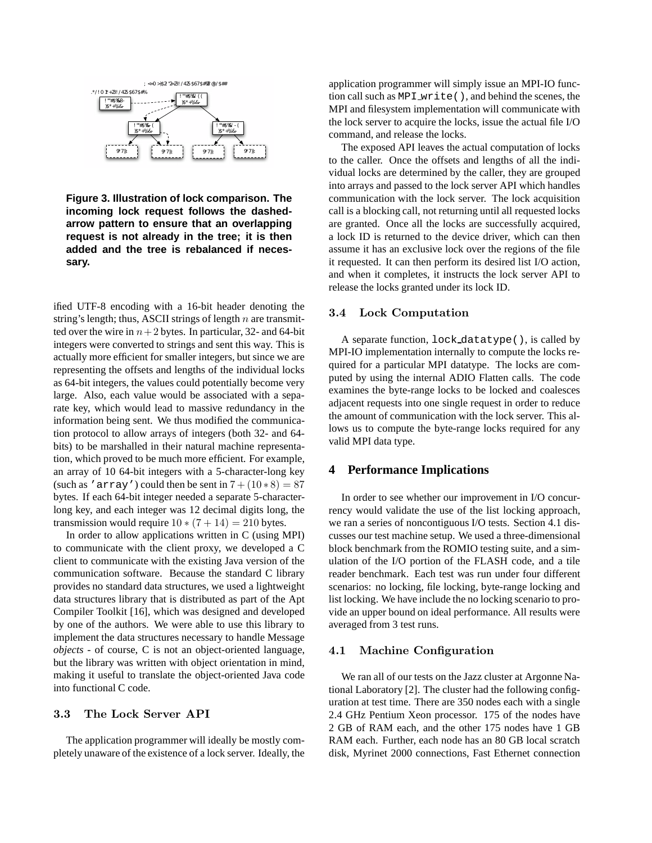

**Figure 3. Illustration of lock comparison. The incoming lock request follows the dashedarrow pattern to ensure that an overlapping request is not already in the tree; it is then added and the tree is rebalanced if necessary.**

ified UTF-8 encoding with a 16-bit header denoting the string's length; thus, ASCII strings of length  $n$  are transmitted over the wire in  $n+2$  bytes. In particular, 32- and 64-bit integers were converted to strings and sent this way. This is actually more efficient for smaller integers, but since we are representing the offsets and lengths of the individual locks as 64-bit integers, the values could potentially become very large. Also, each value would be associated with a separate key, which would lead to massive redundancy in the information being sent. We thus modified the communication protocol to allow arrays of integers (both 32- and 64 bits) to be marshalled in their natural machine representation, which proved to be much more efficient. For example, an array of 10 64-bit integers with a 5-character-long key (such as 'array') could then be sent in  $7 + (10 * 8) = 87$ bytes. If each 64-bit integer needed a separate 5-characterlong key, and each integer was 12 decimal digits long, the transmission would require  $10 * (7 + 14) = 210$  bytes.

In order to allow applications written in C (using MPI) to communicate with the client proxy, we developed a C client to communicate with the existing Java version of the communication software. Because the standard C library provides no standard data structures, we used a lightweight data structures library that is distributed as part of the Apt Compiler Toolkit [16], which was designed and developed by one of the authors. We were able to use this library to implement the data structures necessary to handle Message *objects* - of course, C is not an object-oriented language, but the library was written with object orientation in mind, making it useful to translate the object-oriented Java code into functional C code.

# 3.3 The Lock Server API

The application programmer will ideally be mostly completely unaware of the existence of a lock server. Ideally, the application programmer will simply issue an MPI-IO function call such as MPI\_write(), and behind the scenes, the MPI and filesystem implementation will communicate with the lock server to acquire the locks, issue the actual file I/O command, and release the locks.

The exposed API leaves the actual computation of locks to the caller. Once the offsets and lengths of all the individual locks are determined by the caller, they are grouped into arrays and passed to the lock server API which handles communication with the lock server. The lock acquisition call is a blocking call, not returning until all requested locks are granted. Once all the locks are successfully acquired, a lock ID is returned to the device driver, which can then assume it has an exclusive lock over the regions of the file it requested. It can then perform its desired list I/O action, and when it completes, it instructs the lock server API to release the locks granted under its lock ID.

#### 3.4 Lock Computation

A separate function, lock datatype(), is called by MPI-IO implementation internally to compute the locks required for a particular MPI datatype. The locks are computed by using the internal ADIO Flatten calls. The code examines the byte-range locks to be locked and coalesces adjacent requests into one single request in order to reduce the amount of communication with the lock server. This allows us to compute the byte-range locks required for any valid MPI data type.

### **4 Performance Implications**

In order to see whether our improvement in I/O concurrency would validate the use of the list locking approach, we ran a series of noncontiguous I/O tests. Section 4.1 discusses our test machine setup. We used a three-dimensional block benchmark from the ROMIO testing suite, and a simulation of the I/O portion of the FLASH code, and a tile reader benchmark. Each test was run under four different scenarios: no locking, file locking, byte-range locking and list locking. We have include the no locking scenario to provide an upper bound on ideal performance. All results were averaged from 3 test runs.

#### 4.1 Machine Configuration

We ran all of our tests on the Jazz cluster at Argonne National Laboratory [2]. The cluster had the following configuration at test time. There are 350 nodes each with a single 2.4 GHz Pentium Xeon processor. 175 of the nodes have 2 GB of RAM each, and the other 175 nodes have 1 GB RAM each. Further, each node has an 80 GB local scratch disk, Myrinet 2000 connections, Fast Ethernet connection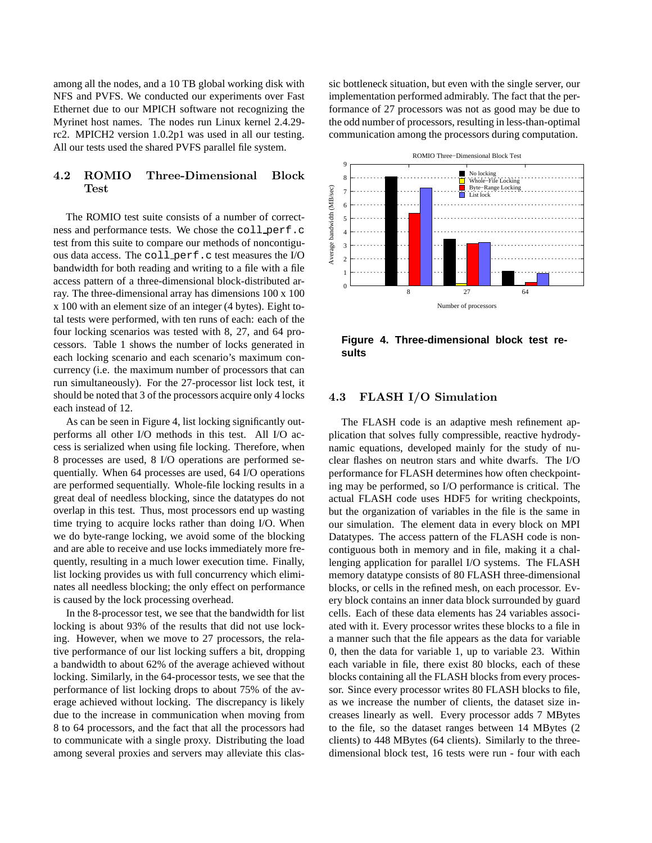among all the nodes, and a 10 TB global working disk with NFS and PVFS. We conducted our experiments over Fast Ethernet due to our MPICH software not recognizing the Myrinet host names. The nodes run Linux kernel 2.4.29 rc2. MPICH2 version 1.0.2p1 was used in all our testing. All our tests used the shared PVFS parallel file system.

# 4.2 ROMIO Three-Dimensional Block Test

The ROMIO test suite consists of a number of correctness and performance tests. We chose the coll perf.c test from this suite to compare our methods of noncontiguous data access. The coll perf.c test measures the I/O bandwidth for both reading and writing to a file with a file access pattern of a three-dimensional block-distributed array. The three-dimensional array has dimensions 100 x 100 x 100 with an element size of an integer (4 bytes). Eight total tests were performed, with ten runs of each: each of the four locking scenarios was tested with 8, 27, and 64 processors. Table 1 shows the number of locks generated in each locking scenario and each scenario's maximum concurrency (i.e. the maximum number of processors that can run simultaneously). For the 27-processor list lock test, it should be noted that 3 of the processors acquire only 4 locks each instead of 12.

As can be seen in Figure 4, list locking significantly outperforms all other I/O methods in this test. All I/O access is serialized when using file locking. Therefore, when 8 processes are used, 8 I/O operations are performed sequentially. When 64 processes are used, 64 I/O operations are performed sequentially. Whole-file locking results in a great deal of needless blocking, since the datatypes do not overlap in this test. Thus, most processors end up wasting time trying to acquire locks rather than doing I/O. When we do byte-range locking, we avoid some of the blocking and are able to receive and use locks immediately more frequently, resulting in a much lower execution time. Finally, list locking provides us with full concurrency which eliminates all needless blocking; the only effect on performance is caused by the lock processing overhead.

In the 8-processor test, we see that the bandwidth for list locking is about 93% of the results that did not use locking. However, when we move to 27 processors, the relative performance of our list locking suffers a bit, dropping a bandwidth to about 62% of the average achieved without locking. Similarly, in the 64-processor tests, we see that the performance of list locking drops to about 75% of the average achieved without locking. The discrepancy is likely due to the increase in communication when moving from 8 to 64 processors, and the fact that all the processors had to communicate with a single proxy. Distributing the load among several proxies and servers may alleviate this classic bottleneck situation, but even with the single server, our implementation performed admirably. The fact that the performance of 27 processors was not as good may be due to the odd number of processors, resulting in less-than-optimal communication among the processors during computation.



**Figure 4. Three-dimensional block test results**

# 4.3 FLASH I/O Simulation

The FLASH code is an adaptive mesh refinement application that solves fully compressible, reactive hydrodynamic equations, developed mainly for the study of nuclear flashes on neutron stars and white dwarfs. The I/O performance for FLASH determines how often checkpointing may be performed, so I/O performance is critical. The actual FLASH code uses HDF5 for writing checkpoints, but the organization of variables in the file is the same in our simulation. The element data in every block on MPI Datatypes. The access pattern of the FLASH code is noncontiguous both in memory and in file, making it a challenging application for parallel I/O systems. The FLASH memory datatype consists of 80 FLASH three-dimensional blocks, or cells in the refined mesh, on each processor. Every block contains an inner data block surrounded by guard cells. Each of these data elements has 24 variables associated with it. Every processor writes these blocks to a file in a manner such that the file appears as the data for variable 0, then the data for variable 1, up to variable 23. Within each variable in file, there exist 80 blocks, each of these blocks containing all the FLASH blocks from every processor. Since every processor writes 80 FLASH blocks to file, as we increase the number of clients, the dataset size increases linearly as well. Every processor adds 7 MBytes to the file, so the dataset ranges between 14 MBytes (2 clients) to 448 MBytes (64 clients). Similarly to the threedimensional block test, 16 tests were run - four with each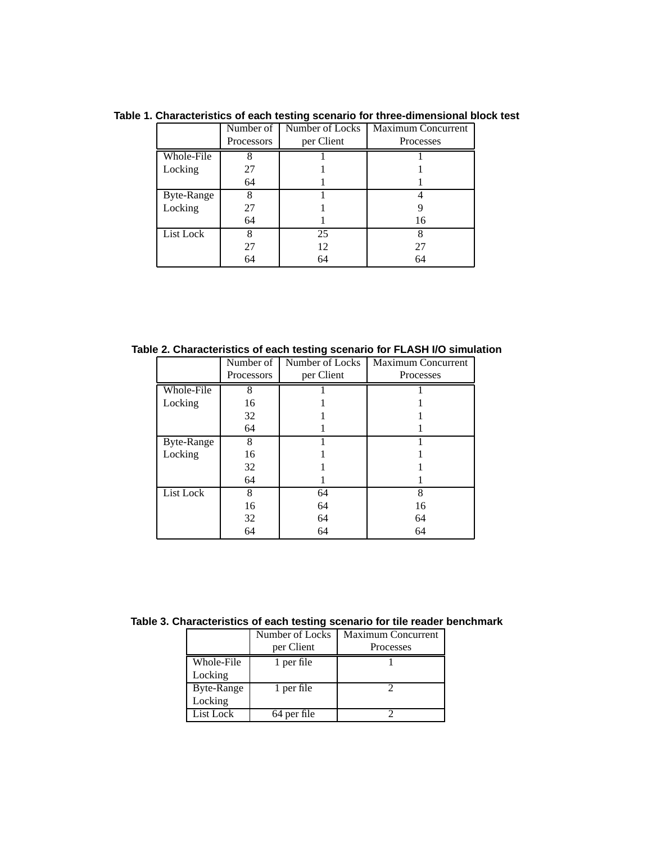|            | Number of  | Number of Locks | <b>Maximum Concurrent</b> |
|------------|------------|-----------------|---------------------------|
|            | Processors | per Client      | Processes                 |
| Whole-File | 8          |                 |                           |
| Locking    | 27         |                 |                           |
|            | 64         |                 |                           |
| Byte-Range | 8          |                 |                           |
| Locking    | 27         |                 |                           |
|            | 64         |                 | 16                        |
| List Lock  | 8          | 25              |                           |
|            | 27         | 12              | 27                        |
|            | 64         | 64              | 64                        |

**Table 1. Characteristics of each testing scenario for three-dimensional block test**

**Table 2. Characteristics of each testing scenario for FLASH I/O simulation**

|            | Number of  | Number of Locks | Maximum Concurrent |
|------------|------------|-----------------|--------------------|
|            |            |                 |                    |
|            | Processors | per Client      | Processes          |
| Whole-File | 8          |                 |                    |
| Locking    | 16         |                 |                    |
|            | 32         |                 |                    |
|            | 64         |                 |                    |
| Byte-Range | 8          |                 |                    |
| Locking    | 16         |                 |                    |
|            | 32         |                 |                    |
|            | 64         |                 |                    |
| List Lock  | 8          | 64              | 8                  |
|            | 16         | 64              | 16                 |
|            | 32         | 64              | 64                 |
|            | 64         | 64              | 64                 |

**Table 3. Characteristics of each testing scenario for tile reader benchmark**

|            | Number of Locks | <b>Maximum Concurrent</b> |
|------------|-----------------|---------------------------|
|            | per Client      | Processes                 |
| Whole-File | 1 per file      |                           |
| Locking    |                 |                           |
| Byte-Range | 1 per file      |                           |
| Locking    |                 |                           |
| List Lock  | 64 per file     |                           |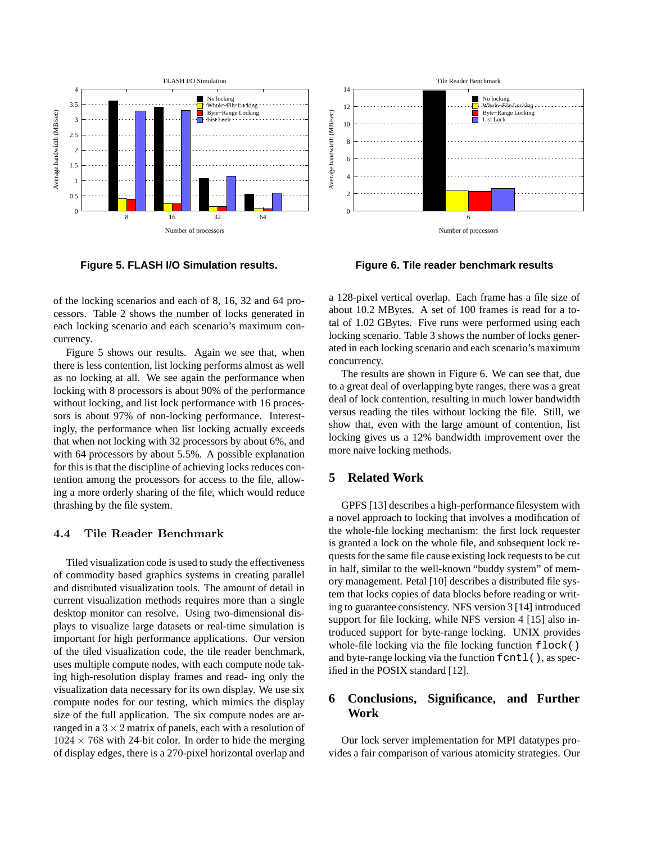

**Figure 5. FLASH I/O Simulation results.**

of the locking scenarios and each of 8, 16, 32 and 64 processors. Table 2 shows the number of locks generated in each locking scenario and each scenario's maximum concurrency.

Figure 5 shows our results. Again we see that, when there is less contention, list locking performs almost as well as no locking at all. We see again the performance when locking with 8 processors is about 90% of the performance without locking, and list lock performance with 16 processors is about 97% of non-locking performance. Interestingly, the performance when list locking actually exceeds that when not locking with 32 processors by about 6%, and with 64 processors by about 5.5%. A possible explanation for this is that the discipline of achieving locks reduces contention among the processors for access to the file, allowing a more orderly sharing of the file, which would reduce thrashing by the file system.

# 4.4 Tile Reader Benchmark

Tiled visualization code is used to study the effectiveness of commodity based graphics systems in creating parallel and distributed visualization tools. The amount of detail in current visualization methods requires more than a single desktop monitor can resolve. Using two-dimensional displays to visualize large datasets or real-time simulation is important for high performance applications. Our version of the tiled visualization code, the tile reader benchmark, uses multiple compute nodes, with each compute node taking high-resolution display frames and read- ing only the visualization data necessary for its own display. We use six compute nodes for our testing, which mimics the display size of the full application. The six compute nodes are arranged in a  $3 \times 2$  matrix of panels, each with a resolution of  $1024 \times 768$  with 24-bit color. In order to hide the merging of display edges, there is a 270-pixel horizontal overlap and



**Figure 6. Tile reader benchmark results**

a 128-pixel vertical overlap. Each frame has a file size of about 10.2 MBytes. A set of 100 frames is read for a total of 1.02 GBytes. Five runs were performed using each locking scenario. Table 3 shows the number of locks generated in each locking scenario and each scenario's maximum concurrency.

The results are shown in Figure 6. We can see that, due to a great deal of overlapping byte ranges, there was a great deal of lock contention, resulting in much lower bandwidth versus reading the tiles without locking the file. Still, we show that, even with the large amount of contention, list locking gives us a 12% bandwidth improvement over the more naive locking methods.

## **5 Related Work**

GPFS [13] describes a high-performance filesystem with a novel approach to locking that involves a modification of the whole-file locking mechanism: the first lock requester is granted a lock on the whole file, and subsequent lock requests for the same file cause existing lock requests to be cut in half, similar to the well-known "buddy system" of memory management. Petal [10] describes a distributed file system that locks copies of data blocks before reading or writing to guarantee consistency. NFS version 3 [14] introduced support for file locking, while NFS version 4 [15] also introduced support for byte-range locking. UNIX provides whole-file locking via the file locking function  $f$ lock() and byte-range locking via the function fcntl(), as specified in the POSIX standard [12].

# **6 Conclusions, Significance, and Further Work**

Our lock server implementation for MPI datatypes provides a fair comparison of various atomicity strategies. Our